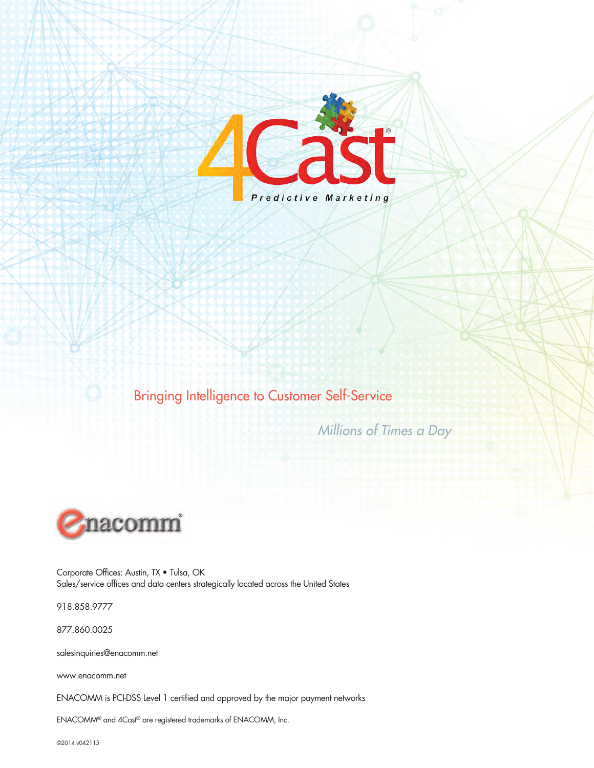

Bringing Intelligence to Customer Self-Service

*Millions of Times a Day*



Corporate Offices: Austin, TX • Tulsa, OK Sales/service offices and data centers strategically located across the United States

918.858.9777

877.860.0025

salesinquiries@enacomm.net

www.enacomm.net

ENACOMM is PCI-DSS Level 1 certified and approved by the major payment networks

ENACOMM® and 4Cast® are registered trademarks of ENACOMM, Inc.

©2014 v042115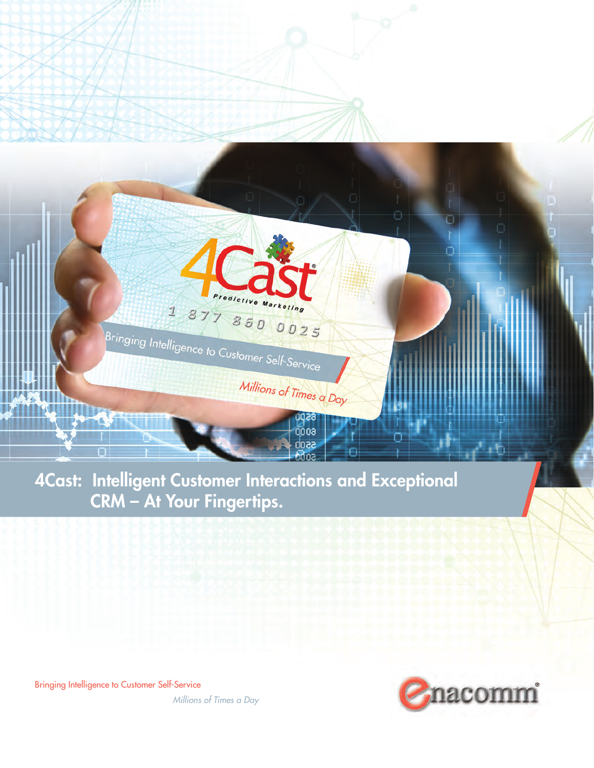

edictive Marketing

Millions of Times a Day

929 000a 5500 dna

 $18778600025$ 

Bringing Intelligence to Customer Self-Service

Bringing Intelligence to Customer Self-Service

**IKKAN** 



П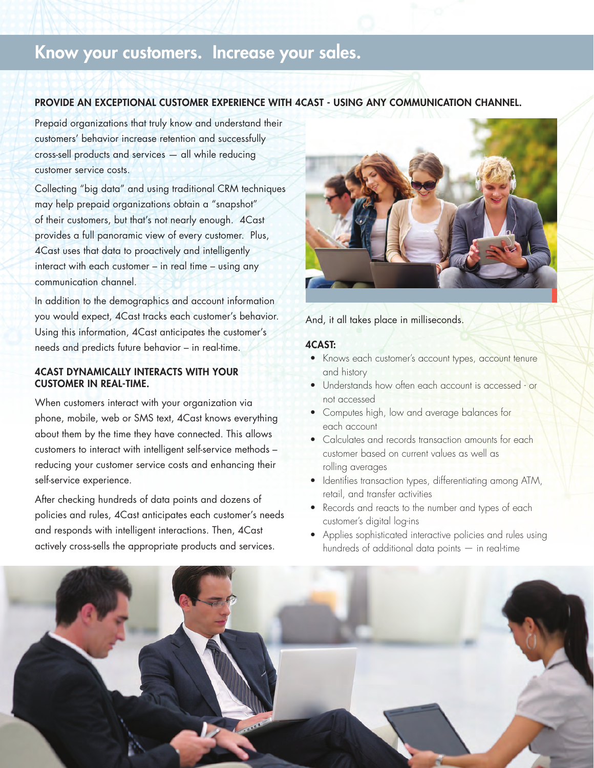# Know your customers. Increase your sales.

#### PROVIDE AN EXCEPTIONAL CUSTOMER EXPERIENCE WITH 4CAST - USING ANY COMMUNICATION CHANNEL.

Prepaid organizations that truly know and understand their customers' behavior increase retention and successfully cross-sell products and services — all while reducing customer service costs.

Collecting "big data" and using traditional CRM techniques may help prepaid organizations obtain a "snapshot" of their customers, but that's not nearly enough. 4Cast provides a full panoramic view of every customer. Plus, 4Cast uses that data to proactively and intelligently interact with each customer – in real time – using any communication channel.

In addition to the demographics and account information you would expect, 4Cast tracks each customer's behavior. Using this information, 4Cast anticipates the customer's needs and predicts future behavior – in real-time.

## 4CAST DYNAMICALLY INTERACTS WITH YOUR CUSTOMER IN REAL-TIME.

When customers interact with your organization via phone, mobile, web or SMS text, 4Cast knows everything about them by the time they have connected. This allows customers to interact with intelligent self-service methods – reducing your customer service costs and enhancing their self-service experience.

After checking hundreds of data points and dozens of policies and rules, 4Cast anticipates each customer's needs and responds with intelligent interactions. Then, 4Cast actively cross-sells the appropriate products and services.



And, it all takes place in milliseconds.

#### 4CAST:

- Knows each customer's account types, account tenure and history
- Understands how often each account is accessed or not accessed
- Computes high, low and average balances for each account
- Calculates and records transaction amounts for each customer based on current values as well as rolling averages
- Identifies transaction types, differentiating among ATM, retail, and transfer activities
- Records and reacts to the number and types of each customer's digital log-ins
- Applies sophisticated interactive policies and rules using hundreds of additional data points — in real-time